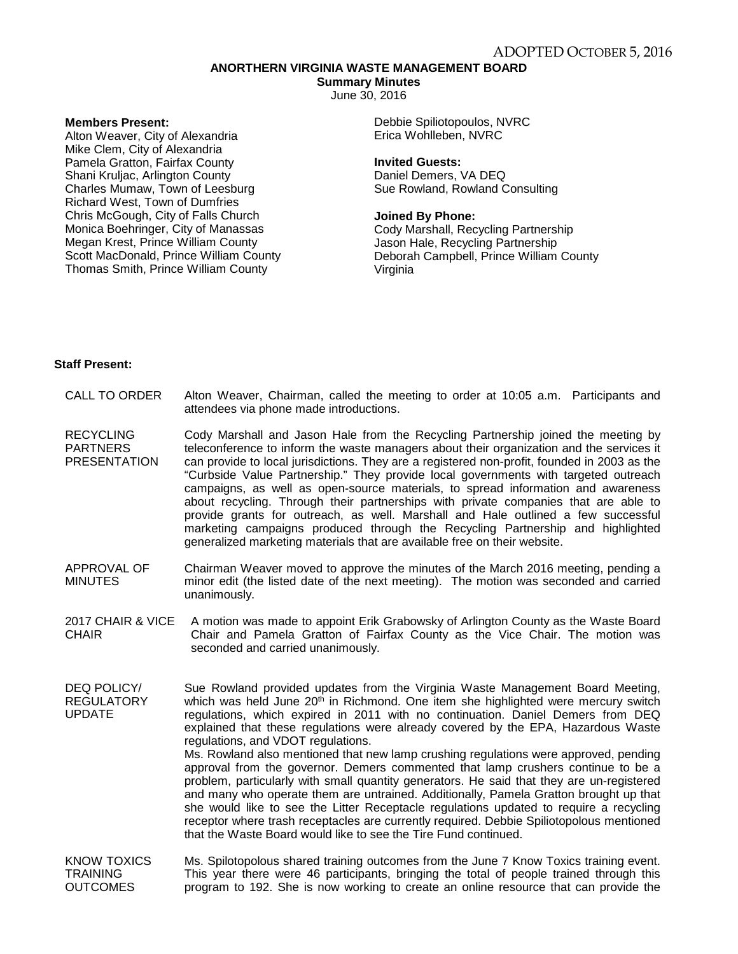# **ANORTHERN VIRGINIA WASTE MANAGEMENT BOARD**

**Summary Minutes** June 30, 2016

**Members Present:**

Alton Weaver, City of Alexandria Mike Clem, City of Alexandria Pamela Gratton, Fairfax County Shani Kruljac, Arlington County Charles Mumaw, Town of Leesburg Richard West, Town of Dumfries Chris McGough, City of Falls Church Monica Boehringer, City of Manassas Megan Krest, Prince William County Scott MacDonald, Prince William County Thomas Smith, Prince William County

Debbie Spiliotopoulos, NVRC Erica Wohlleben, NVRC

## **Invited Guests:**

Daniel Demers, VA DEQ Sue Rowland, Rowland Consulting

### **Joined By Phone:**

Cody Marshall, Recycling Partnership Jason Hale, Recycling Partnership Deborah Campbell, Prince William County Virginia

## **Staff Present:**

- CALL TO ORDER Alton Weaver, Chairman, called the meeting to order at 10:05 a.m. Participants and attendees via phone made introductions.
- **RECYCLING** PARTNERS **PRESENTATION** Cody Marshall and Jason Hale from the Recycling Partnership joined the meeting by teleconference to inform the waste managers about their organization and the services it can provide to local jurisdictions. They are a registered non-profit, founded in 2003 as the "Curbside Value Partnership." They provide local governments with targeted outreach campaigns, as well as open-source materials, to spread information and awareness about recycling. Through their partnerships with private companies that are able to provide grants for outreach, as well. Marshall and Hale outlined a few successful marketing campaigns produced through the Recycling Partnership and highlighted generalized marketing materials that are available free on their website.
- APPROVAL OF MINUTES Chairman Weaver moved to approve the minutes of the March 2016 meeting, pending a minor edit (the listed date of the next meeting). The motion was seconded and carried unanimously.
- 2017 CHAIR & VICE A motion was made to appoint Erik Grabowsky of Arlington County as the Waste Board CHAIR Chair and Pamela Gratton of Fairfax County as the Vice Chair. The motion was seconded and carried unanimously.
- DEQ POLICY/ REGULATORY UPDATE Sue Rowland provided updates from the Virginia Waste Management Board Meeting, which was held June  $20<sup>th</sup>$  in Richmond. One item she highlighted were mercury switch regulations, which expired in 2011 with no continuation. Daniel Demers from DEQ explained that these regulations were already covered by the EPA, Hazardous Waste regulations, and VDOT regulations. Ms. Rowland also mentioned that new lamp crushing regulations were approved, pending

approval from the governor. Demers commented that lamp crushers continue to be a problem, particularly with small quantity generators. He said that they are un-registered and many who operate them are untrained. Additionally, Pamela Gratton brought up that she would like to see the Litter Receptacle regulations updated to require a recycling receptor where trash receptacles are currently required. Debbie Spiliotopolous mentioned that the Waste Board would like to see the Tire Fund continued.

#### KNOW TOXICS **TRAINING OUTCOMES** Ms. Spilotopolous shared training outcomes from the June 7 Know Toxics training event. This year there were 46 participants, bringing the total of people trained through this program to 192. She is now working to create an online resource that can provide the